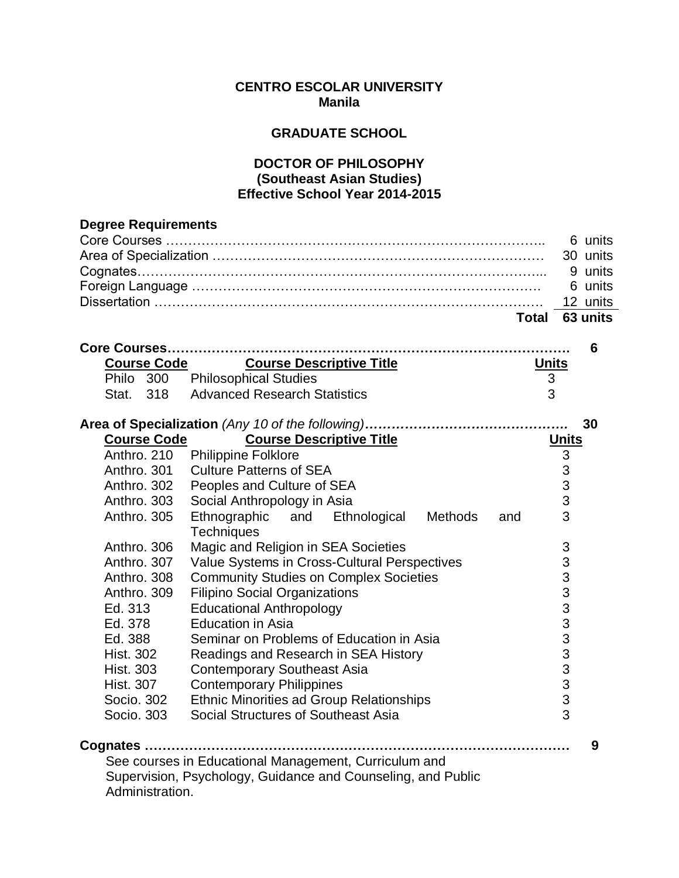## **CENTRO ESCOLAR UNIVERSITY Manila**

## **GRADUATE SCHOOL**

## **DOCTOR OF PHILOSOPHY (Southeast Asian Studies) Effective School Year 2014-2015**

| <b>Degree Requirements</b> |                                                                  |              |                |          |
|----------------------------|------------------------------------------------------------------|--------------|----------------|----------|
|                            |                                                                  |              |                | 6 units  |
|                            |                                                                  |              |                | 30 units |
|                            |                                                                  |              |                | 9 units  |
|                            |                                                                  |              |                | 6 units  |
|                            |                                                                  |              |                | 12 units |
|                            |                                                                  | Total        |                | 63 units |
|                            | Core Courses                                                     |              |                | 6        |
| <b>Course Code</b>         | <b>Course Descriptive Title</b>                                  | <b>Units</b> |                |          |
|                            | Philo 300 Philosophical Studies                                  | 3            |                |          |
| Stat. 318                  | <b>Advanced Research Statistics</b>                              | 3            |                |          |
|                            |                                                                  |              |                | 30       |
| <b>Course Code</b>         | <b>Course Descriptive Title</b>                                  |              | <b>Units</b>   |          |
| Anthro. 210                | <b>Philippine Folklore</b>                                       |              | $\mathfrak{S}$ |          |
| Anthro. 301                | <b>Culture Patterns of SEA</b>                                   |              | 3              |          |
| Anthro, 302                | Peoples and Culture of SEA                                       |              | 3              |          |
| Anthro, 303                | Social Anthropology in Asia                                      |              | 3              |          |
| Anthro, 305                | Ethnological<br>Ethnographic and<br>Methods<br><b>Techniques</b> | and          | 3              |          |
| Anthro. 306                | Magic and Religion in SEA Societies                              |              | 3              |          |
| Anthro, 307                | Value Systems in Cross-Cultural Perspectives                     |              | 3              |          |
| Anthro, 308                | <b>Community Studies on Complex Societies</b>                    |              | 3              |          |
| Anthro, 309                | <b>Filipino Social Organizations</b>                             |              |                |          |
| Ed. 313                    | <b>Educational Anthropology</b>                                  |              |                |          |
| Ed. 378                    | <b>Education in Asia</b>                                         |              |                |          |
| Ed. 388                    | Seminar on Problems of Education in Asia                         |              |                |          |
| <b>Hist. 302</b>           | Readings and Research in SEA History                             |              | 333333333      |          |
| <b>Hist. 303</b>           | <b>Contemporary Southeast Asia</b>                               |              |                |          |
| <b>Hist. 307</b>           | <b>Contemporary Philippines</b>                                  |              |                |          |
| Socio. 302                 | <b>Ethnic Minorities ad Group Relationships</b>                  |              |                |          |
| Socio, 303                 | Social Structures of Southeast Asia                              |              | 3              |          |
|                            |                                                                  |              |                | 9        |
|                            | See courses in Educational Management, Curriculum and            |              |                |          |
|                            | Supervision, Psychology, Guidance and Counseling, and Public     |              |                |          |
| Administration.            |                                                                  |              |                |          |